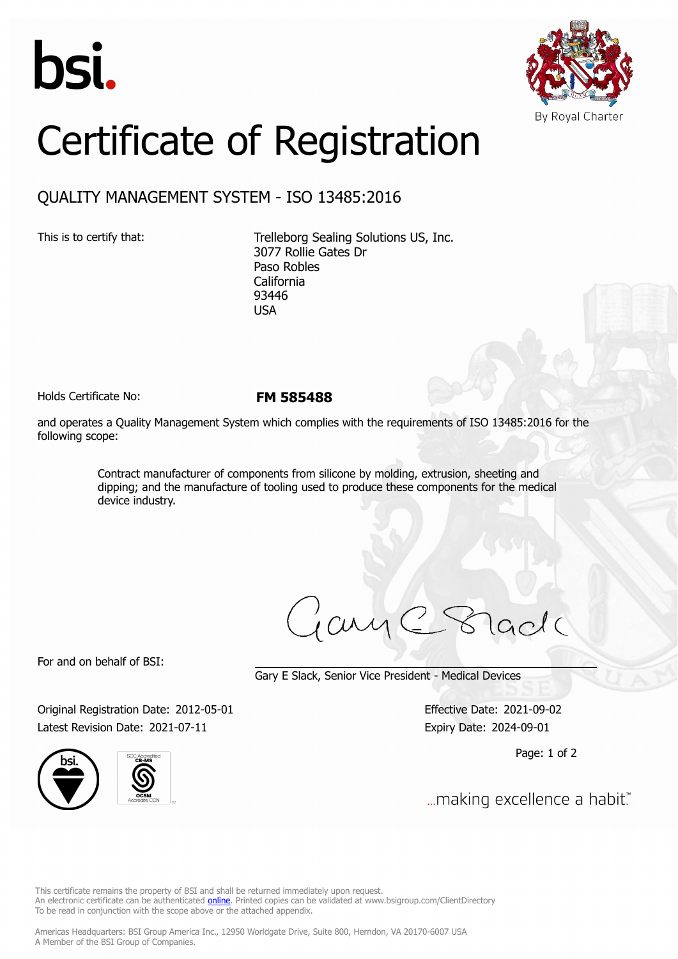



## Certificate of Registration

## QUALITY MANAGEMENT SYSTEM - ISO 13485:2016

This is to certify that: Trelleborg Sealing Solutions US, Inc. 3077 Rollie Gates Dr Paso Robles California 93446 USA

Holds Certificate No: **FM 585488**

and operates a Quality Management System which complies with the requirements of ISO 13485:2016 for the following scope:

> Contract manufacturer of components from silicone by molding, extrusion, sheeting and dipping; and the manufacture of tooling used to produce these components for the medical device industry.

For and on behalf of BSI:

Gary E Slack, Senior Vice President - Medical Devices

Original Registration Date: 2012-05-01 Effective Date: 2021-09-02 Latest Revision Date: 2021-07-11 Expiry Date: 2024-09-01





Page: 1 of 2

... making excellence a habit."

This certificate remains the property of BSI and shall be returned immediately upon request. An electronic certificate can be authenticated *[online](https://pgplus.bsigroup.com/CertificateValidation/CertificateValidator.aspx?CertificateNumber=FM+585488&ReIssueDate=11%2f07%2f2021&Template=inc)*. Printed copies can be validated at www.bsigroup.com/ClientDirectory To be read in conjunction with the scope above or the attached appendix.

Americas Headquarters: BSI Group America Inc., 12950 Worldgate Drive, Suite 800, Herndon, VA 20170-6007 USA A Member of the BSI Group of Companies.